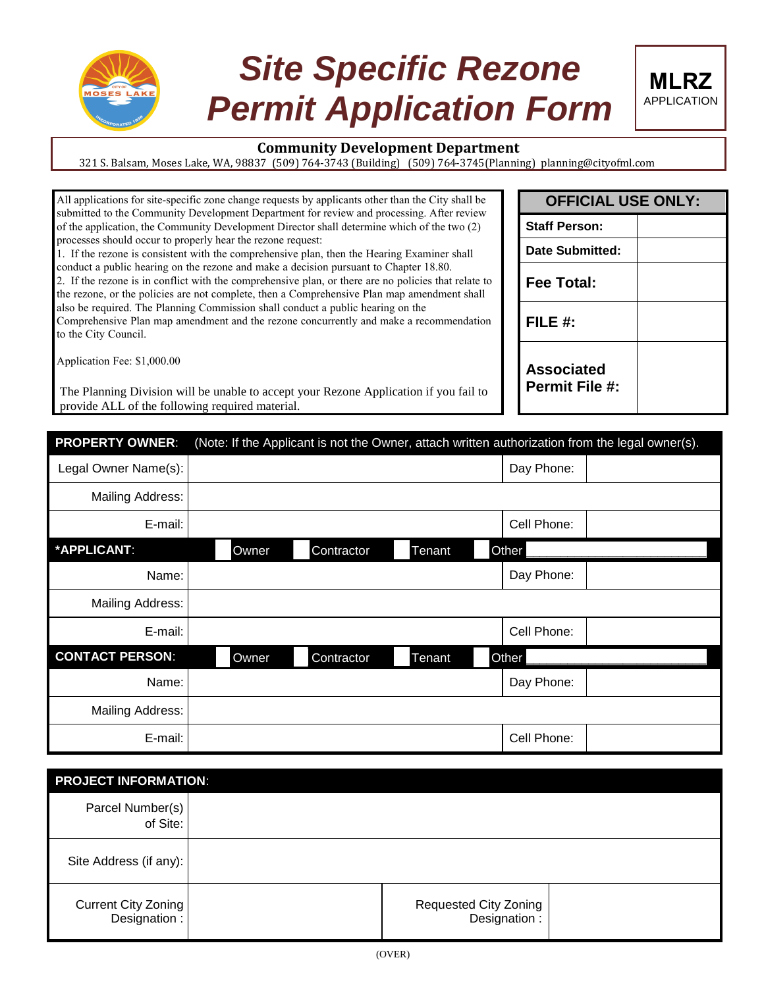

# *Site Specific Rezone Permit Application Form*



321 S. Balsam, Moses Lake, WA, 98837 (509) 764-3743 (Building) (509) 764-3745(Planning) planning@cityofml.com

All applications for site-specific zone change requests by applicants other than the City shall be submitted to the Community Development Department for review and processing. After review of the application, the Community Development Director shall determine which of the two (2) processes should occur to properly hear the rezone request:

1. If the rezone is consistent with the comprehensive plan, then the Hearing Examiner shall conduct a public hearing on the rezone and make a decision pursuant to Chapter 18.80.

2. If the rezone is in conflict with the comprehensive plan, or there are no policies that relate to the rezone, or the policies are not complete, then a Comprehensive Plan map amendment shall also be required. The Planning Commission shall conduct a public hearing on the Comprehensive Plan map amendment and the rezone concurrently and make a recommendation to the City Council.

Application Fee: \$1,000.00

The Planning Division will be unable to accept your Rezone Application if you fail to provide ALL of the following required material.

| <b>PROPERTY OWNER:</b>  | (Note: If the Applicant is not the Owner, attach written authorization from the legal owner(s). |        |             |  |  |
|-------------------------|-------------------------------------------------------------------------------------------------|--------|-------------|--|--|
| Legal Owner Name(s):    |                                                                                                 |        | Day Phone:  |  |  |
| <b>Mailing Address:</b> |                                                                                                 |        |             |  |  |
| E-mail:                 |                                                                                                 |        | Cell Phone: |  |  |
| *APPLICANT:             | Owner<br>Contractor                                                                             | Tenant | Other       |  |  |
| Name:                   |                                                                                                 |        | Day Phone:  |  |  |
| Mailing Address:        |                                                                                                 |        |             |  |  |
| E-mail:                 |                                                                                                 |        | Cell Phone: |  |  |
| <b>CONTACT PERSON:</b>  | Owner<br>Contractor                                                                             | Tenant | Other       |  |  |
| Name:                   |                                                                                                 |        | Day Phone:  |  |  |
| Mailing Address:        |                                                                                                 |        |             |  |  |
| E-mail:                 |                                                                                                 |        | Cell Phone: |  |  |

| <b>PROJECT INFORMATION:</b>         |  |                                              |  |  |  |
|-------------------------------------|--|----------------------------------------------|--|--|--|
| Parcel Number(s)<br>of Site:        |  |                                              |  |  |  |
| Site Address (if any):              |  |                                              |  |  |  |
| Current City Zoning<br>Designation: |  | <b>Requested City Zoning</b><br>Designation: |  |  |  |

| <b>OFFICIAL USE ONLY:</b>                  |  |  |  |  |
|--------------------------------------------|--|--|--|--|
| <b>Staff Person:</b>                       |  |  |  |  |
| Date Submitted:                            |  |  |  |  |
| Fee Total:                                 |  |  |  |  |
| FILE $#$ :                                 |  |  |  |  |
| <b>Associated</b><br><b>Permit File #:</b> |  |  |  |  |

**MLRZ** APPLICATION